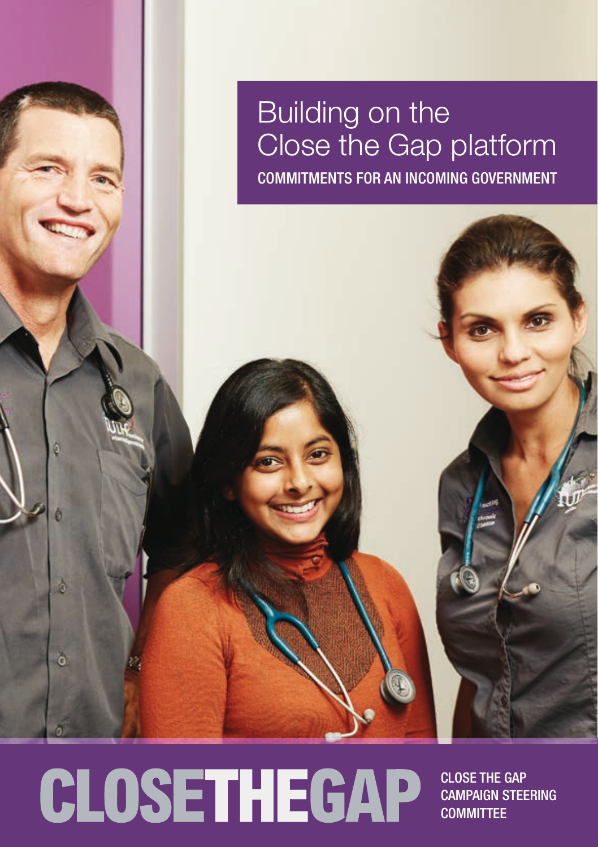Building on the Close the Gap platform Commitments for an incoming government

CLOSETHEGAP

é

Ĝ

Close the Gap Campaign Steering **COMMITTEE**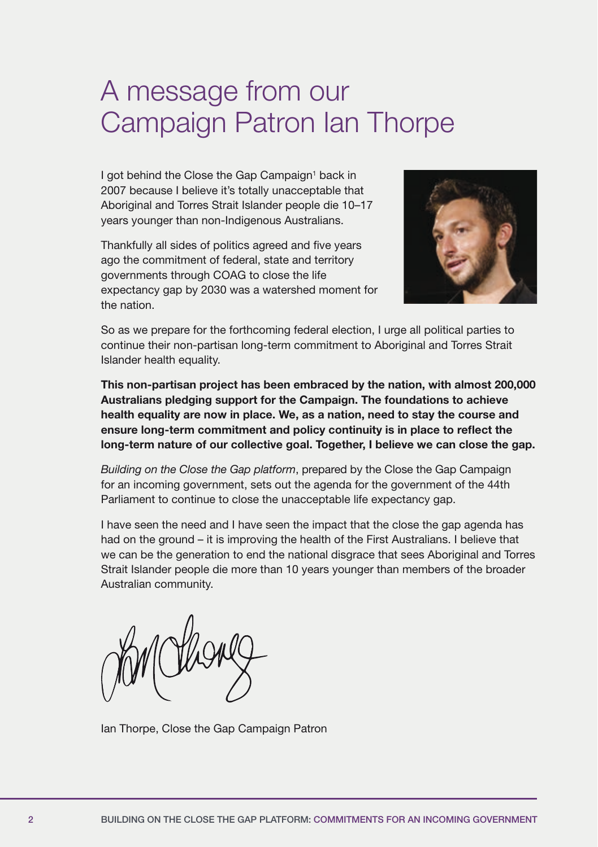## A message from our Campaign Patron Ian Thorpe

I got behind the Close the Gap Campaign<sup>1</sup> back in 2007 because I believe it's totally unacceptable that Aboriginal and Torres Strait Islander people die 10–17 years younger than non-Indigenous Australians.

Thankfully all sides of politics agreed and five years ago the commitment of federal, state and territory governments through COAG to close the life expectancy gap by 2030 was a watershed moment for the nation.



So as we prepare for the forthcoming federal election, I urge all political parties to continue their non-partisan long-term commitment to Aboriginal and Torres Strait Islander health equality.

This non-partisan project has been embraced by the nation, with almost 200,000 Australians pledging support for the Campaign. The foundations to achieve health equality are now in place. We, as a nation, need to stay the course and ensure long-term commitment and policy continuity is in place to reflect the long-term nature of our collective goal. Together, I believe we can close the gap.

*Building on the Close the Gap platform*, prepared by the Close the Gap Campaign for an incoming government, sets out the agenda for the government of the 44th Parliament to continue to close the unacceptable life expectancy gap.

I have seen the need and I have seen the impact that the close the gap agenda has had on the ground – it is improving the health of the First Australians. I believe that we can be the generation to end the national disgrace that sees Aboriginal and Torres Strait Islander people die more than 10 years younger than members of the broader Australian community.

Ian Thorpe, Close the Gap Campaign Patron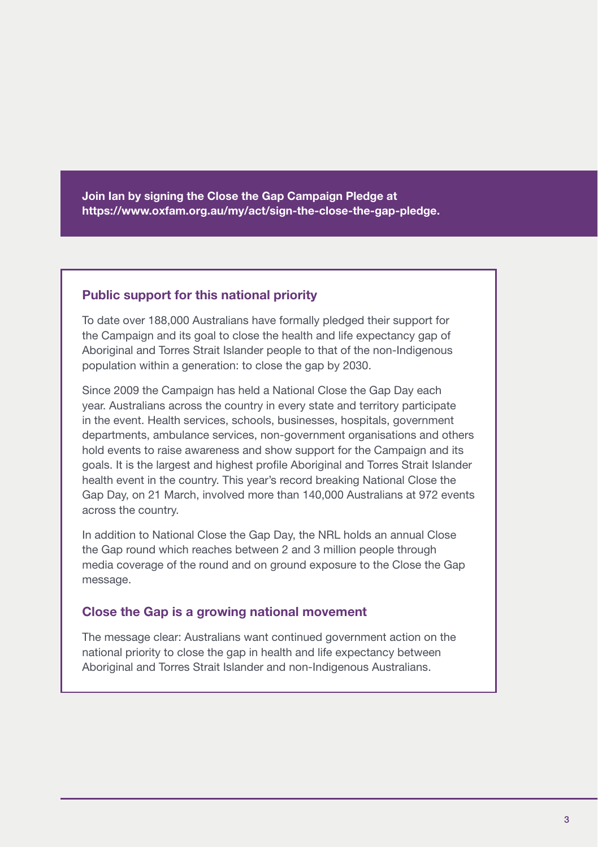Join Ian by signing the Close the Gap Campaign Pledge at [https://www.oxfam.org.au/my/act/sign-the-close-the-gap-pledge.](https://www.oxfam.org.au/my/act/sign-the-close-the-gap-pledge)

### Public support for this national priority

To date over 188,000 Australians have formally pledged their support for the Campaign and its goal to close the health and life expectancy gap of Aboriginal and Torres Strait Islander people to that of the non-Indigenous population within a generation: to close the gap by 2030.

Since 2009 the Campaign has held a National Close the Gap Day each year. Australians across the country in every state and territory participate in the event. Health services, schools, businesses, hospitals, government departments, ambulance services, non-government organisations and others hold events to raise awareness and show support for the Campaign and its goals. It is the largest and highest profile Aboriginal and Torres Strait Islander health event in the country. This year's record breaking National Close the Gap Day, on 21 March, involved more than 140,000 Australians at 972 events across the country.

In addition to National Close the Gap Day, the NRL holds an annual Close the Gap round which reaches between 2 and 3 million people through media coverage of the round and on ground exposure to the Close the Gap message.

### Close the Gap is a growing national movement

The message clear: Australians want continued government action on the national priority to close the gap in health and life expectancy between Aboriginal and Torres Strait Islander and non-Indigenous Australians.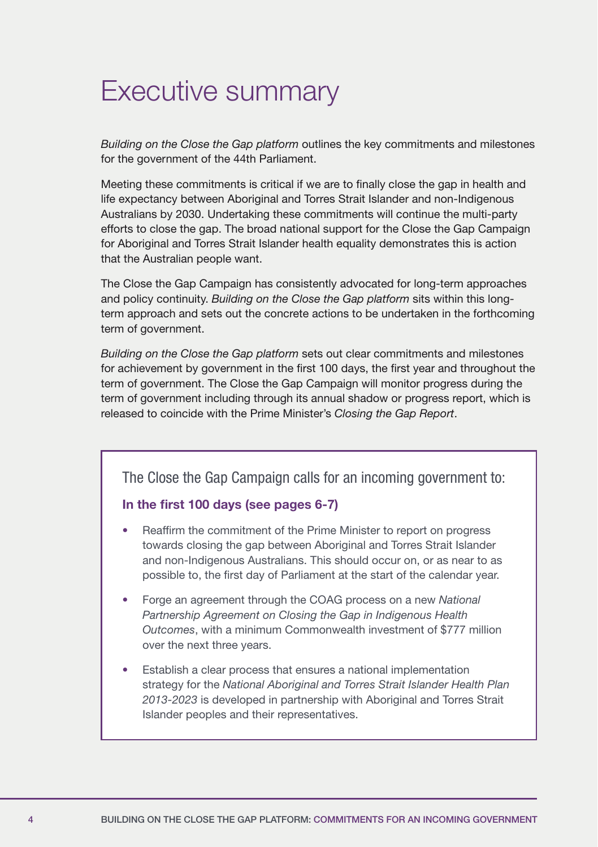# Executive summary

*Building on the Close the Gap platform* outlines the key commitments and milestones for the government of the 44th Parliament.

Meeting these commitments is critical if we are to finally close the gap in health and life expectancy between Aboriginal and Torres Strait Islander and non-Indigenous Australians by 2030. Undertaking these commitments will continue the multi-party efforts to close the gap. The broad national support for the Close the Gap Campaign for Aboriginal and Torres Strait Islander health equality demonstrates this is action that the Australian people want.

The Close the Gap Campaign has consistently advocated for long-term approaches and policy continuity. *Building on the Close the Gap platform* sits within this longterm approach and sets out the concrete actions to be undertaken in the forthcoming term of government.

*Building on the Close the Gap platform* sets out clear commitments and milestones for achievement by government in the first 100 days, the first year and throughout the term of government. The Close the Gap Campaign will monitor progress during the term of government including through its annual shadow or progress report, which is released to coincide with the Prime Minister's *Closing the Gap Report*.

The Close the Gap Campaign calls for an incoming government to:

### In the first 100 days (see pages 6-7)

- Reaffirm the commitment of the Prime Minister to report on progress towards closing the gap between Aboriginal and Torres Strait Islander and non-Indigenous Australians. This should occur on, or as near to as possible to, the first day of Parliament at the start of the calendar year.
- Forge an agreement through the COAG process on a new *National Partnership Agreement on Closing the Gap in Indigenous Health Outcomes*, with a minimum Commonwealth investment of \$777 million over the next three years.
- Establish a clear process that ensures a national implementation strategy for the *National Aboriginal and Torres Strait Islander Health Plan 2013-2023* is developed in partnership with Aboriginal and Torres Strait Islander peoples and their representatives.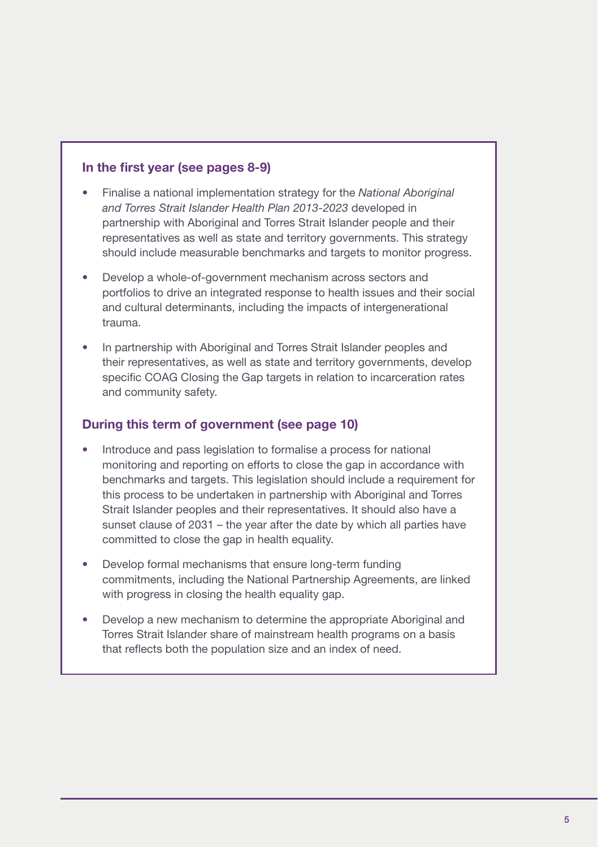### In the first year (see pages 8-9)

- Finalise a national implementation strategy for the *National Aboriginal and Torres Strait Islander Health Plan 2013-2023* developed in partnership with Aboriginal and Torres Strait Islander people and their representatives as well as state and territory governments. This strategy should include measurable benchmarks and targets to monitor progress.
- Develop a whole-of-government mechanism across sectors and portfolios to drive an integrated response to health issues and their social and cultural determinants, including the impacts of intergenerational trauma.
- In partnership with Aboriginal and Torres Strait Islander peoples and their representatives, as well as state and territory governments, develop specific COAG Closing the Gap targets in relation to incarceration rates and community safety.

### During this term of government (see page 10)

- Introduce and pass legislation to formalise a process for national monitoring and reporting on efforts to close the gap in accordance with benchmarks and targets. This legislation should include a requirement for this process to be undertaken in partnership with Aboriginal and Torres Strait Islander peoples and their representatives. It should also have a sunset clause of 2031 – the year after the date by which all parties have committed to close the gap in health equality.
- Develop formal mechanisms that ensure long-term funding commitments, including the National Partnership Agreements, are linked with progress in closing the health equality gap.
- Develop a new mechanism to determine the appropriate Aboriginal and Torres Strait Islander share of mainstream health programs on a basis that reflects both the population size and an index of need.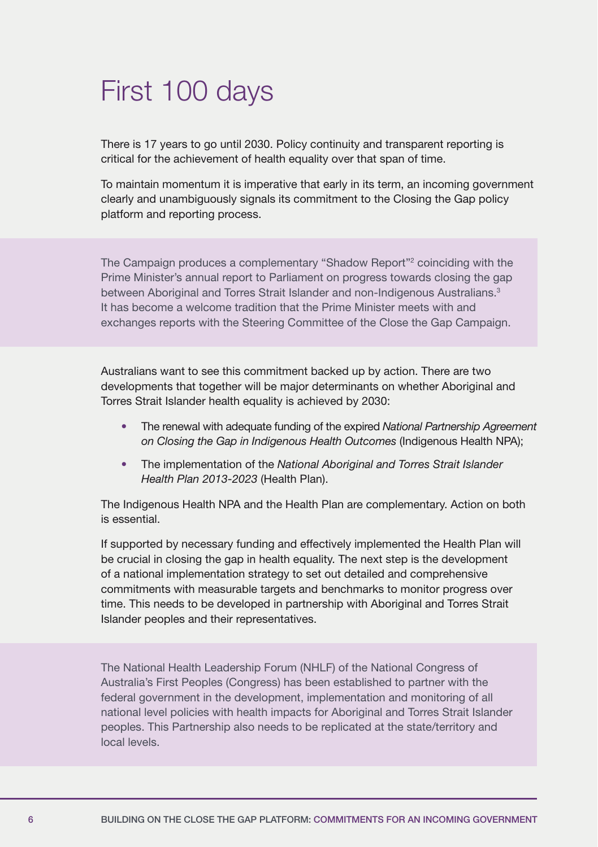# First 100 days

There is 17 years to go until 2030. Policy continuity and transparent reporting is critical for the achievement of health equality over that span of time.

To maintain momentum it is imperative that early in its term, an incoming government clearly and unambiguously signals its commitment to the Closing the Gap policy platform and reporting process.

The Campaign produces a complementary "Shadow Report"<sup>2</sup> coinciding with the Prime Minister's annual report to Parliament on progress towards closing the gap between Aboriginal and Torres Strait Islander and non-Indigenous Australians.<sup>3</sup> It has become a welcome tradition that the Prime Minister meets with and exchanges reports with the Steering Committee of the Close the Gap Campaign.

Australians want to see this commitment backed up by action. There are two developments that together will be major determinants on whether Aboriginal and Torres Strait Islander health equality is achieved by 2030:

- The renewal with adequate funding of the expired *National Partnership Agreement on Closing the Gap in Indigenous Health Outcomes* (Indigenous Health NPA);
- The implementation of the *National Aboriginal and Torres Strait Islander Health Plan 2013-2023* (Health Plan).

The Indigenous Health NPA and the Health Plan are complementary. Action on both is essential.

If supported by necessary funding and effectively implemented the Health Plan will be crucial in closing the gap in health equality. The next step is the development of a national implementation strategy to set out detailed and comprehensive commitments with measurable targets and benchmarks to monitor progress over time. This needs to be developed in partnership with Aboriginal and Torres Strait Islander peoples and their representatives.

The National Health Leadership Forum (NHLF) of the National Congress of Australia's First Peoples (Congress) has been established to partner with the federal government in the development, implementation and monitoring of all national level policies with health impacts for Aboriginal and Torres Strait Islander peoples. This Partnership also needs to be replicated at the state/territory and local levels.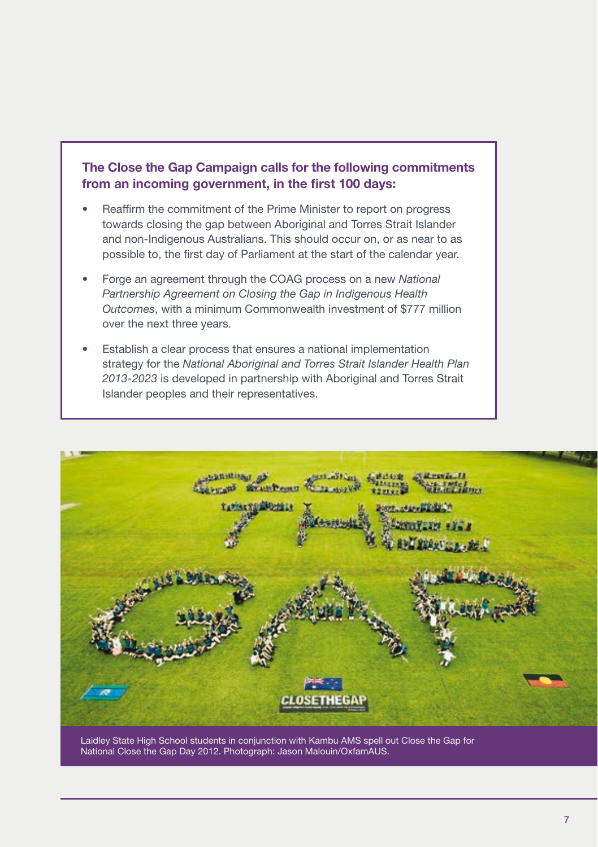### The Close the Gap Campaign calls for the following commitments from an incoming government, in the first 100 days:

- Reaffirm the commitment of the Prime Minister to report on progress towards closing the gap between Aboriginal and Torres Strait Islander and non-Indigenous Australians. This should occur on, or as near to as possible to, the first day of Parliament at the start of the calendar year.
- Forge an agreement through the COAG process on a new *National Partnership Agreement on Closing the Gap in Indigenous Health Outcomes*, with a minimum Commonwealth investment of \$777 million over the next three years.
- Establish a clear process that ensures a national implementation strategy for the *National Aboriginal and Torres Strait Islander Health Plan 2013-2023* is developed in partnership with Aboriginal and Torres Strait Islander peoples and their representatives.



Laidley State High School students in conjunction with Kambu AMS spell out Close the Gap for National Close the Gap Day 2012. Photograph: Jason Malouin/OxfamAUS.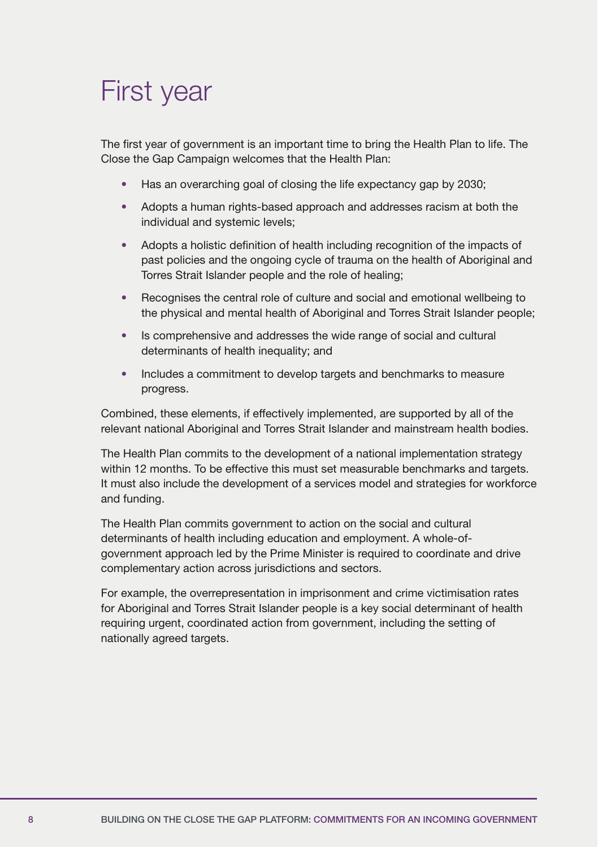# First year

The first year of government is an important time to bring the Health Plan to life. The Close the Gap Campaign welcomes that the Health Plan:

- Has an overarching goal of closing the life expectancy gap by 2030;
- Adopts a human rights-based approach and addresses racism at both the individual and systemic levels;
- Adopts a holistic definition of health including recognition of the impacts of past policies and the ongoing cycle of trauma on the health of Aboriginal and Torres Strait Islander people and the role of healing;
- Recognises the central role of culture and social and emotional wellbeing to the physical and mental health of Aboriginal and Torres Strait Islander people;
- Is comprehensive and addresses the wide range of social and cultural determinants of health inequality; and
- Includes a commitment to develop targets and benchmarks to measure progress.

Combined, these elements, if effectively implemented, are supported by all of the relevant national Aboriginal and Torres Strait Islander and mainstream health bodies.

The Health Plan commits to the development of a national implementation strategy within 12 months. To be effective this must set measurable benchmarks and targets. It must also include the development of a services model and strategies for workforce and funding.

The Health Plan commits government to action on the social and cultural determinants of health including education and employment. A whole-ofgovernment approach led by the Prime Minister is required to coordinate and drive complementary action across jurisdictions and sectors.

For example, the overrepresentation in imprisonment and crime victimisation rates for Aboriginal and Torres Strait Islander people is a key social determinant of health requiring urgent, coordinated action from government, including the setting of nationally agreed targets.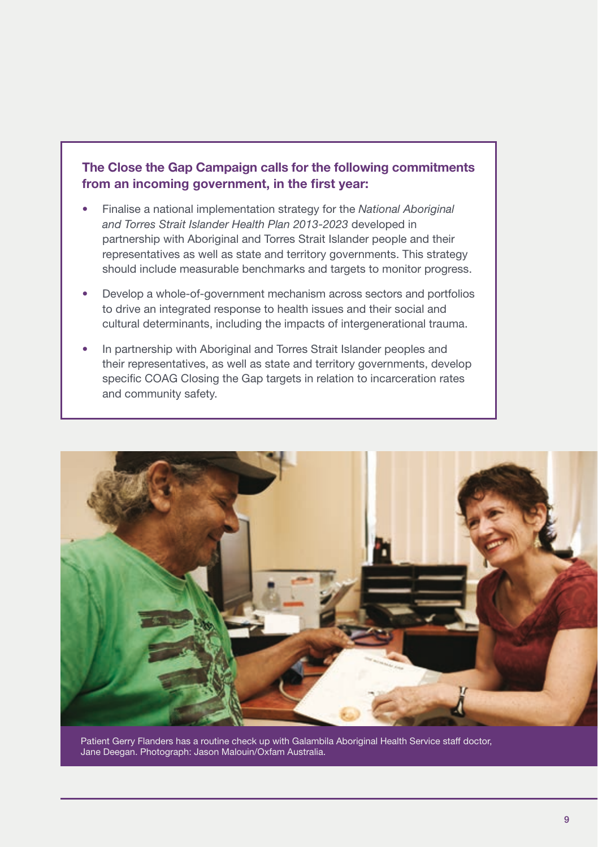### The Close the Gap Campaign calls for the following commitments from an incoming government, in the first year:

- Finalise a national implementation strategy for the *National Aboriginal and Torres Strait Islander Health Plan 2013-2023* developed in partnership with Aboriginal and Torres Strait Islander people and their representatives as well as state and territory governments. This strategy should include measurable benchmarks and targets to monitor progress.
- Develop a whole-of-government mechanism across sectors and portfolios to drive an integrated response to health issues and their social and cultural determinants, including the impacts of intergenerational trauma.
- In partnership with Aboriginal and Torres Strait Islander peoples and their representatives, as well as state and territory governments, develop specific COAG Closing the Gap targets in relation to incarceration rates and community safety.



Patient Gerry Flanders has a routine check up with Galambila Aboriginal Health Service staff doctor, Jane Deegan. Photograph: Jason Malouin/Oxfam Australia.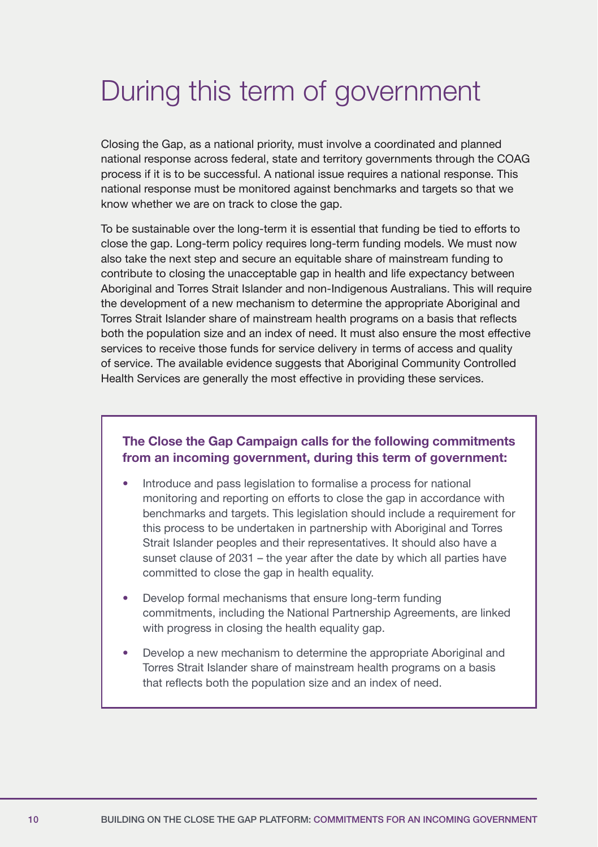# During this term of government

Closing the Gap, as a national priority, must involve a coordinated and planned national response across federal, state and territory governments through the COAG process if it is to be successful. A national issue requires a national response. This national response must be monitored against benchmarks and targets so that we know whether we are on track to close the gap.

To be sustainable over the long-term it is essential that funding be tied to efforts to close the gap. Long-term policy requires long-term funding models. We must now also take the next step and secure an equitable share of mainstream funding to contribute to closing the unacceptable gap in health and life expectancy between Aboriginal and Torres Strait Islander and non-Indigenous Australians. This will require the development of a new mechanism to determine the appropriate Aboriginal and Torres Strait Islander share of mainstream health programs on a basis that reflects both the population size and an index of need. It must also ensure the most effective services to receive those funds for service delivery in terms of access and quality of service. The available evidence suggests that Aboriginal Community Controlled Health Services are generally the most effective in providing these services.

### The Close the Gap Campaign calls for the following commitments from an incoming government, during this term of government:

- Introduce and pass legislation to formalise a process for national monitoring and reporting on efforts to close the gap in accordance with benchmarks and targets. This legislation should include a requirement for this process to be undertaken in partnership with Aboriginal and Torres Strait Islander peoples and their representatives. It should also have a sunset clause of 2031 – the year after the date by which all parties have committed to close the gap in health equality.
- Develop formal mechanisms that ensure long-term funding commitments, including the National Partnership Agreements, are linked with progress in closing the health equality gap.
- Develop a new mechanism to determine the appropriate Aboriginal and Torres Strait Islander share of mainstream health programs on a basis that reflects both the population size and an index of need.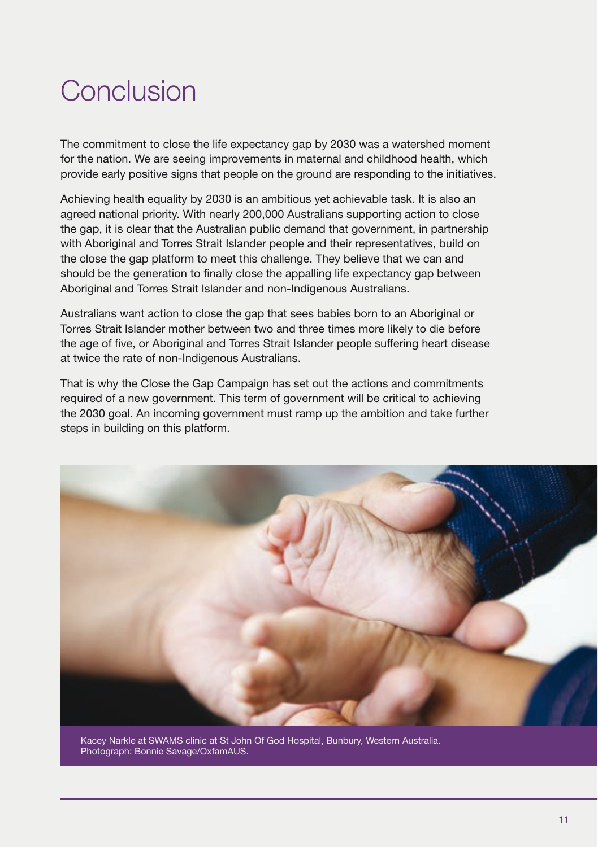# Conclusion

The commitment to close the life expectancy gap by 2030 was a watershed moment for the nation. We are seeing improvements in maternal and childhood health, which provide early positive signs that people on the ground are responding to the initiatives.

Achieving health equality by 2030 is an ambitious yet achievable task. It is also an agreed national priority. With nearly 200,000 Australians supporting action to close the gap, it is clear that the Australian public demand that government, in partnership with Aboriginal and Torres Strait Islander people and their representatives, build on the close the gap platform to meet this challenge. They believe that we can and should be the generation to finally close the appalling life expectancy gap between Aboriginal and Torres Strait Islander and non-Indigenous Australians.

Australians want action to close the gap that sees babies born to an Aboriginal or Torres Strait Islander mother between two and three times more likely to die before the age of five, or Aboriginal and Torres Strait Islander people suffering heart disease at twice the rate of non-Indigenous Australians.

That is why the Close the Gap Campaign has set out the actions and commitments required of a new government. This term of government will be critical to achieving the 2030 goal. An incoming government must ramp up the ambition and take further steps in building on this platform.



Kacey Narkle at SWAMS clinic at St John Of God Hospital, Bunbury, Western Australia. Photograph: Bonnie Savage/OxfamAUS.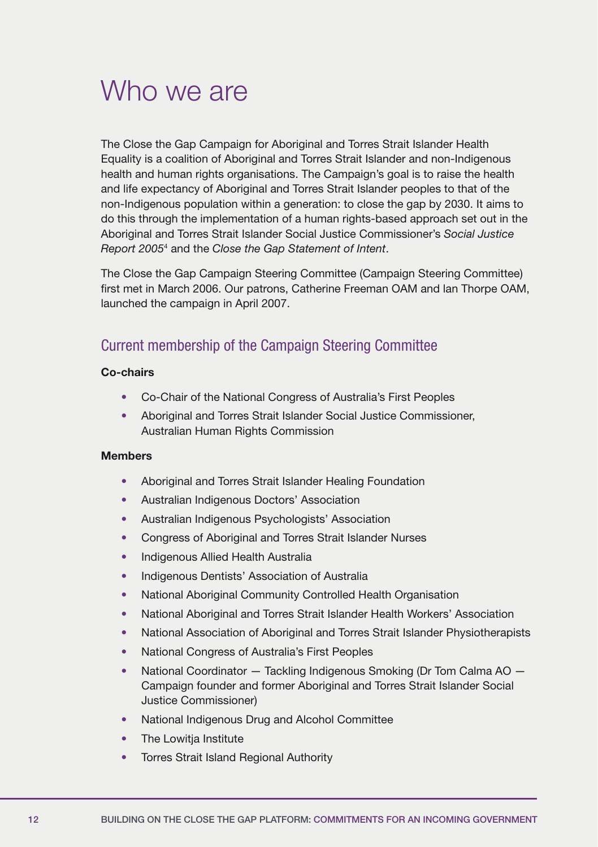### Who we are

The Close the Gap Campaign for Aboriginal and Torres Strait Islander Health Equality is a coalition of Aboriginal and Torres Strait Islander and non-Indigenous health and human rights organisations. The Campaign's goal is to raise the health and life expectancy of Aboriginal and Torres Strait Islander peoples to that of the non-Indigenous population within a generation: to close the gap by 2030. It aims to do this through the implementation of a human rights-based approach set out in the Aboriginal and Torres Strait Islander Social Justice Commissioner's *Social Justice Report 2005*<sup>4</sup> and the *Close the Gap Statement of Intent*.

The Close the Gap Campaign Steering Committee (Campaign Steering Committee) first met in March 2006. Our patrons, Catherine Freeman OAM and lan Thorpe OAM, launched the campaign in April 2007.

### Current membership of the Campaign Steering Committee

### Co-chairs

- Co-Chair of the National Congress of Australia's First Peoples
- Aboriginal and Torres Strait Islander Social Justice Commissioner, Australian Human Rights Commission

### Members

- Aboriginal and Torres Strait Islander Healing Foundation
- Australian Indigenous Doctors' Association
- Australian Indigenous Psychologists' Association
- Congress of Aboriginal and Torres Strait Islander Nurses
- Indigenous Allied Health Australia
- Indigenous Dentists' Association of Australia
- National Aboriginal Community Controlled Health Organisation
- National Aboriginal and Torres Strait Islander Health Workers' Association
- National Association of Aboriginal and Torres Strait Islander Physiotherapists
- National Congress of Australia's First Peoples
- National Coordinator Tackling Indigenous Smoking (Dr Tom Calma AO Campaign founder and former Aboriginal and Torres Strait Islander Social Justice Commissioner)
- National Indigenous Drug and Alcohol Committee
- The Lowitia Institute
- Torres Strait Island Regional Authority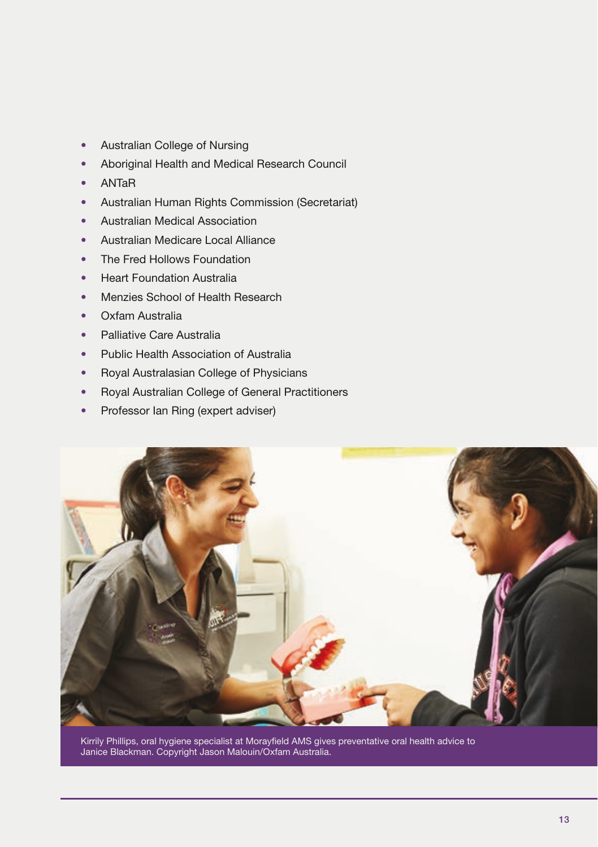- Australian College of Nursing
- Aboriginal Health and Medical Research Council
- ANTaR
- Australian Human Rights Commission (Secretariat)
- Australian Medical Association
- Australian Medicare Local Alliance
- The Fred Hollows Foundation
- Heart Foundation Australia
- Menzies School of Health Research
- Oxfam Australia
- Palliative Care Australia
- Public Health Association of Australia
- Royal Australasian College of Physicians
- Royal Australian College of General Practitioners
- Professor Ian Ring (expert adviser)



Kirrily Phillips, oral hygiene specialist at Morayfield AMS gives preventative oral health advice to Janice Blackman. Copyright Jason Malouin/Oxfam Australia.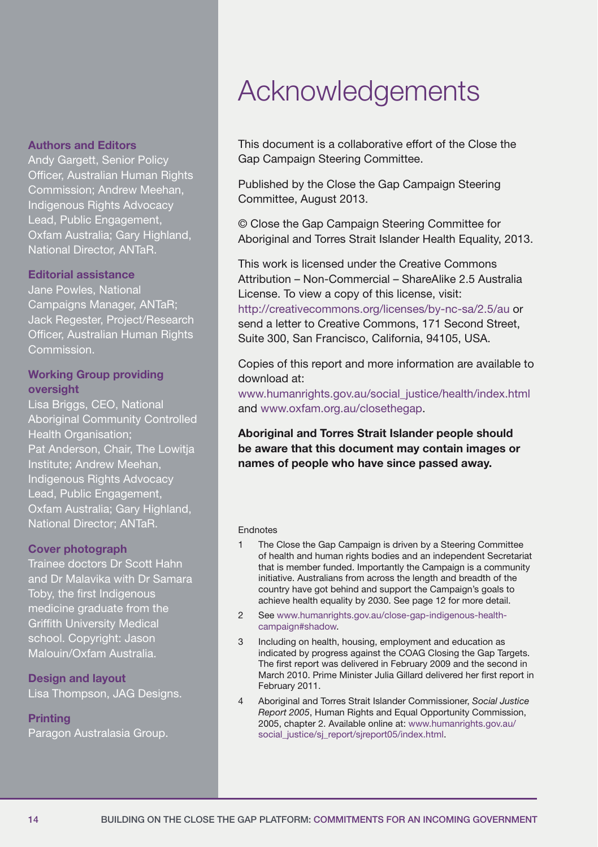### Authors and Editors

Andy Gargett, Senior Policy Officer, Australian Human Rights Commission; Andrew Meehan, Indigenous Rights Advocacy Lead, Public Engagement, Oxfam Australia; Gary Highland, National Director, ANTaR.

### Editorial assistance

Jane Powles, National Campaigns Manager, ANTaR; Jack Regester, Project/Research Officer, Australian Human Rights Commission.

### Working Group providing oversight

Lisa Briggs, CEO, National Aboriginal Community Controlled Health Organisation; Pat Anderson, Chair, The Lowitja Institute; Andrew Meehan, Indigenous Rights Advocacy Lead, Public Engagement, Oxfam Australia; Gary Highland, National Director; ANTaR.

### Cover photograph

Trainee doctors Dr Scott Hahn and Dr Malavika with Dr Samara Toby, the first Indigenous medicine graduate from the Griffith University Medical school. Copyright: Jason Malouin/Oxfam Australia.

Design and layout Lisa Thompson, JAG Designs.

### **Printing**

Paragon Australasia Group.

# Acknowledgements

This document is a collaborative effort of the Close the Gap Campaign Steering Committee.

Published by the Close the Gap Campaign Steering Committee, August 2013.

© Close the Gap Campaign Steering Committee for Aboriginal and Torres Strait Islander Health Equality, 2013.

This work is licensed under the Creative Commons Attribution – Non-Commercial – ShareAlike 2.5 Australia License. To view a copy of this license, visit: <http://creativecommons.org/licenses/by-nc-sa/2.5/au>or send a letter to Creative Commons, 171 Second Street, Suite 300, San Francisco, California, 94105, USA.

Copies of this report and more information are available to download at:

[www.humanrights.gov.au/social\\_justice/health/index.html](http://www.humanrights.gov.au/social_justice/health/index.html) and [www.oxfam.org.au/closethegap](http://www.oxfam.org.au/closethegap).

Aboriginal and Torres Strait Islander people should be aware that this document may contain images or names of people who have since passed away.

#### Endnotes

- 1 The Close the Gap Campaign is driven by a Steering Committee of health and human rights bodies and an independent Secretariat that is member funded. Importantly the Campaign is a community initiative. Australians from across the length and breadth of the country have got behind and support the Campaign's goals to achieve health equality by 2030. See page 12 for more detail.
- 2 See [www.humanrights.gov.au/close-gap-indigenous-health](http://www.humanrights.gov.au/close-gap-indigenous-health-campaign%2523shadow)[campaign#shadow](http://www.humanrights.gov.au/close-gap-indigenous-health-campaign%2523shadow).
- 3 Including on health, housing, employment and education as indicated by progress against the COAG Closing the Gap Targets. The first report was delivered in February 2009 and the second in March 2010. Prime Minister Julia Gillard delivered her first report in February 2011.
- 4 Aboriginal and Torres Strait Islander Commissioner, *Social Justice Report 2005*, Human Rights and Equal Opportunity Commission, 2005, chapter 2. Available online at: [www.humanrights.gov.au/](http://www.humanrights.gov.au/social_justice/sj_report/sjreport05/index.html) [social\\_justice/sj\\_report/sjreport05/index.html.](http://www.humanrights.gov.au/social_justice/sj_report/sjreport05/index.html)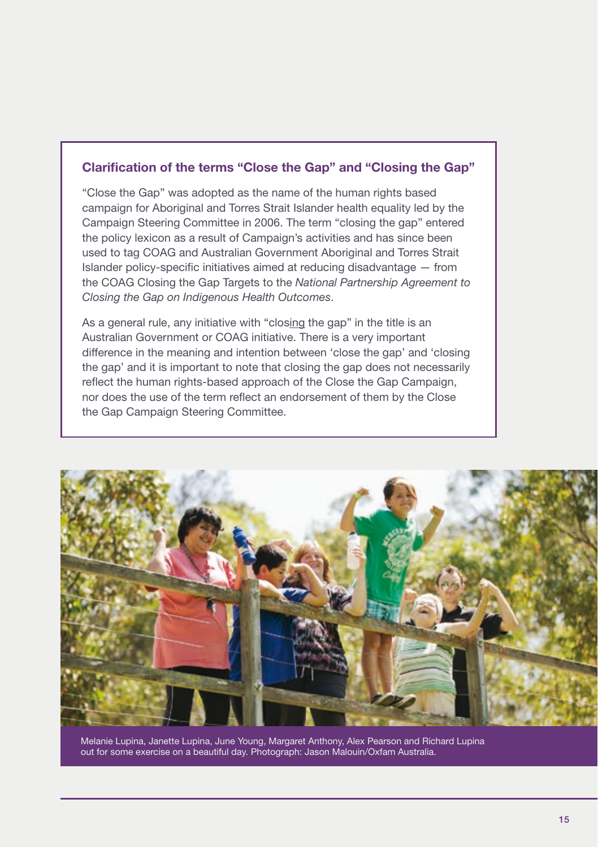### Clarification of the terms "Close the Gap" and "Closing the Gap"

"Close the Gap" was adopted as the name of the human rights based campaign for Aboriginal and Torres Strait Islander health equality led by the Campaign Steering Committee in 2006. The term "closing the gap" entered the policy lexicon as a result of Campaign's activities and has since been used to tag COAG and Australian Government Aboriginal and Torres Strait Islander policy-specific initiatives aimed at reducing disadvantage — from the COAG Closing the Gap Targets to the *National Partnership Agreement to Closing the Gap on Indigenous Health Outcomes*.

As a general rule, any initiative with "closing the gap" in the title is an Australian Government or COAG initiative. There is a very important difference in the meaning and intention between 'close the gap' and 'closing the gap' and it is important to note that closing the gap does not necessarily reflect the human rights-based approach of the Close the Gap Campaign, nor does the use of the term reflect an endorsement of them by the Close the Gap Campaign Steering Committee.



Melanie Lupina, Janette Lupina, June Young, Margaret Anthony, Alex Pearson and Richard Lupina out for some exercise on a beautiful day. Photograph: Jason Malouin/Oxfam Australia.